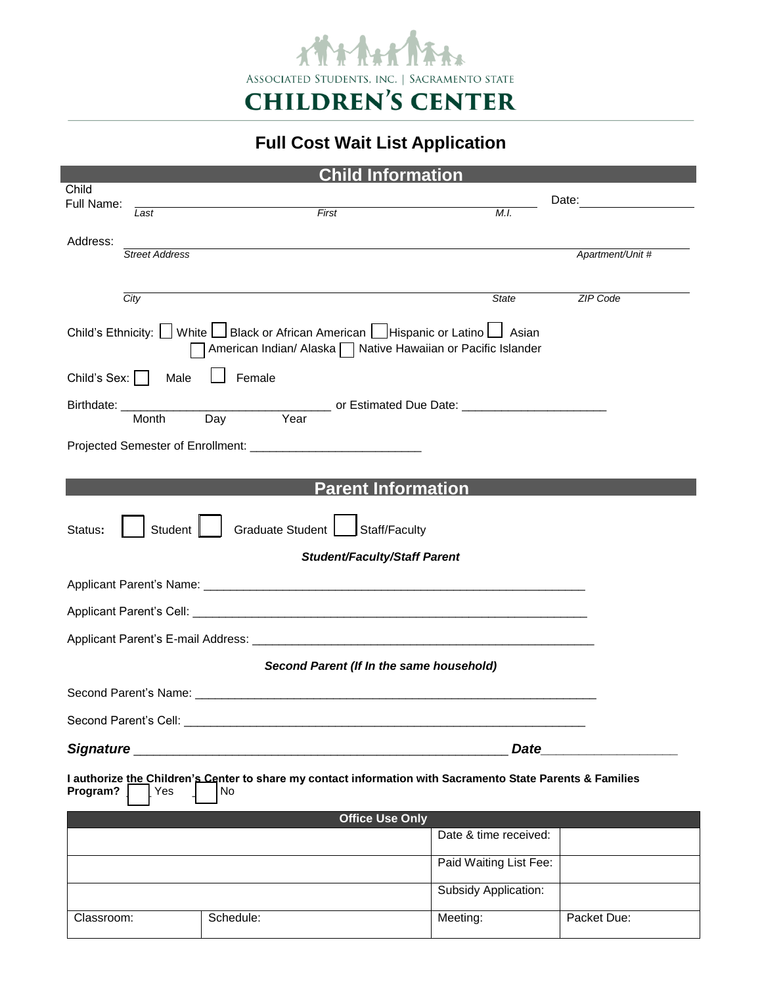

**Full Cost Wait List Application**

| <b>Child Information</b>                                                                                                                             |                       |           |                        |                                  |
|------------------------------------------------------------------------------------------------------------------------------------------------------|-----------------------|-----------|------------------------|----------------------------------|
| Child<br>Full Name:                                                                                                                                  |                       |           |                        | Date: <u>___________________</u> |
|                                                                                                                                                      | Last                  | First     | M.I.                   |                                  |
| Address:                                                                                                                                             |                       |           |                        |                                  |
|                                                                                                                                                      | <b>Street Address</b> |           |                        | Apartment/Unit #                 |
|                                                                                                                                                      |                       |           |                        |                                  |
|                                                                                                                                                      | City                  |           | <b>State</b>           | ZIP Code                         |
| Child's Ethnicity: U White U Black or African American U Hispanic or Latino U Asian<br>American Indian/ Alaska   Native Hawaiian or Pacific Islander |                       |           |                        |                                  |
| Female<br>Child's Sex:  <br>Male                                                                                                                     |                       |           |                        |                                  |
| <u>______________________________</u> or Estimated Due Date: __________________________<br>Birthdate: ___________<br>Day<br>Year<br>Month            |                       |           |                        |                                  |
|                                                                                                                                                      |                       |           |                        |                                  |
|                                                                                                                                                      |                       |           |                        |                                  |
|                                                                                                                                                      |                       |           |                        |                                  |
| <b>Parent Information</b>                                                                                                                            |                       |           |                        |                                  |
| Graduate Student<br>Student<br>Staff/Faculty<br>Status:                                                                                              |                       |           |                        |                                  |
| Student/Faculty/Staff Parent                                                                                                                         |                       |           |                        |                                  |
|                                                                                                                                                      |                       |           |                        |                                  |
|                                                                                                                                                      |                       |           |                        |                                  |
|                                                                                                                                                      |                       |           |                        |                                  |
| Second Parent (If In the same household)                                                                                                             |                       |           |                        |                                  |
|                                                                                                                                                      |                       |           |                        |                                  |
| Second Parent's Cell:                                                                                                                                |                       |           |                        |                                  |
| Signature<br><b>Date</b>                                                                                                                             |                       |           |                        |                                  |
| I authorize the Children's Center to share my contact information with Sacramento State Parents & Families<br>Program?<br>Yes<br>No                  |                       |           |                        |                                  |
| <b>Office Use Only</b>                                                                                                                               |                       |           |                        |                                  |
|                                                                                                                                                      |                       |           | Date & time received:  |                                  |
|                                                                                                                                                      |                       |           | Paid Waiting List Fee: |                                  |
|                                                                                                                                                      |                       |           | Subsidy Application:   |                                  |
| Classroom:                                                                                                                                           |                       | Schedule: | Meeting:               | Packet Due:                      |